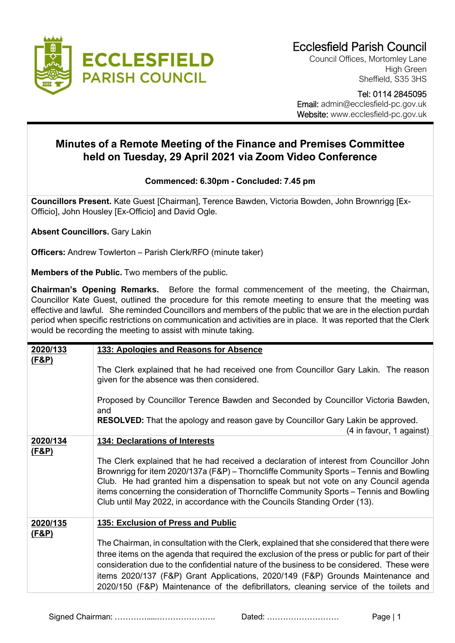

Council Offices, Mortomley Lane High Green Sheffield, S35 3HS

 Tel: 0114 2845095 Email: admin@ecclesfield-pc.gov.uk Website: www.ecclesfield-pc.gov.uk

## **Minutes of a Remote Meeting of the Finance and Premises Committee held on Tuesday, 29 April 2021 via Zoom Video Conference**

## **Commenced: 6.30pm - Concluded: 7.45 pm**

**Councillors Present.** Kate Guest [Chairman], Terence Bawden, Victoria Bowden, John Brownrigg [Ex-Officio], John Housley [Ex-Officio] and David Ogle.

**Absent Councillors.** Gary Lakin

**Officers:** Andrew Towlerton – Parish Clerk/RFO (minute taker)

**Members of the Public.** Two members of the public.

**Chairman's Opening Remarks.** Before the formal commencement of the meeting, the Chairman, Councillor Kate Guest, outlined the procedure for this remote meeting to ensure that the meeting was effective and lawful. She reminded Councillors and members of the public that we are in the election purdah period when specific restrictions on communication and activities are in place. It was reported that the Clerk would be recording the meeting to assist with minute taking.

| 2020/133          | 133: Apologies and Reasons for Absence                                                                                                                                                                                                                                                                                                                                                                                                                                                                       |
|-------------------|--------------------------------------------------------------------------------------------------------------------------------------------------------------------------------------------------------------------------------------------------------------------------------------------------------------------------------------------------------------------------------------------------------------------------------------------------------------------------------------------------------------|
| (F&P)             | The Clerk explained that he had received one from Councillor Gary Lakin. The reason<br>given for the absence was then considered.                                                                                                                                                                                                                                                                                                                                                                            |
|                   | Proposed by Councillor Terence Bawden and Seconded by Councillor Victoria Bawden,<br>and                                                                                                                                                                                                                                                                                                                                                                                                                     |
|                   | <b>RESOLVED:</b> That the apology and reason gave by Councillor Gary Lakin be approved.<br>(4 in favour, 1 against)                                                                                                                                                                                                                                                                                                                                                                                          |
| 2020/134<br>(F&P) | <b>134: Declarations of Interests</b><br>The Clerk explained that he had received a declaration of interest from Councillor John<br>Brownrigg for item 2020/137a (F&P) – Thorncliffe Community Sports – Tennis and Bowling<br>Club. He had granted him a dispensation to speak but not vote on any Council agenda<br>items concerning the consideration of Thorncliffe Community Sports - Tennis and Bowling<br>Club until May 2022, in accordance with the Councils Standing Order (13).                    |
| 2020/135<br>(F&P) | 135: Exclusion of Press and Public<br>The Chairman, in consultation with the Clerk, explained that she considered that there were<br>three items on the agenda that required the exclusion of the press or public for part of their<br>consideration due to the confidential nature of the business to be considered. These were<br>items 2020/137 (F&P) Grant Applications, 2020/149 (F&P) Grounds Maintenance and<br>2020/150 (F&P) Maintenance of the defibrillators, cleaning service of the toilets and |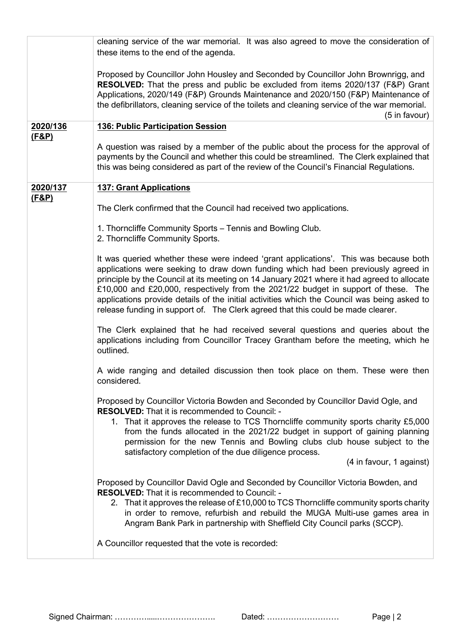|                              | cleaning service of the war memorial. It was also agreed to move the consideration of<br>these items to the end of the agenda.                                                                                                                                                                                                                                                                                                                                                                                                                    |
|------------------------------|---------------------------------------------------------------------------------------------------------------------------------------------------------------------------------------------------------------------------------------------------------------------------------------------------------------------------------------------------------------------------------------------------------------------------------------------------------------------------------------------------------------------------------------------------|
|                              | Proposed by Councillor John Housley and Seconded by Councillor John Brownrigg, and<br>RESOLVED: That the press and public be excluded from items 2020/137 (F&P) Grant<br>Applications, 2020/149 (F&P) Grounds Maintenance and 2020/150 (F&P) Maintenance of<br>the defibrillators, cleaning service of the toilets and cleaning service of the war memorial.<br>(5 in favour)                                                                                                                                                                     |
| 2020/136                     | <b>136: Public Participation Session</b>                                                                                                                                                                                                                                                                                                                                                                                                                                                                                                          |
| <u>(F&amp;P)</u>             | A question was raised by a member of the public about the process for the approval of<br>payments by the Council and whether this could be streamlined. The Clerk explained that<br>this was being considered as part of the review of the Council's Financial Regulations.                                                                                                                                                                                                                                                                       |
| 2020/137<br><u>(F&amp;P)</u> | <b>137: Grant Applications</b>                                                                                                                                                                                                                                                                                                                                                                                                                                                                                                                    |
|                              | The Clerk confirmed that the Council had received two applications.                                                                                                                                                                                                                                                                                                                                                                                                                                                                               |
|                              | 1. Thorncliffe Community Sports - Tennis and Bowling Club.<br>2. Thorncliffe Community Sports.                                                                                                                                                                                                                                                                                                                                                                                                                                                    |
|                              | It was queried whether these were indeed 'grant applications'. This was because both<br>applications were seeking to draw down funding which had been previously agreed in<br>principle by the Council at its meeting on 14 January 2021 where it had agreed to allocate<br>£10,000 and £20,000, respectively from the 2021/22 budget in support of these. The<br>applications provide details of the initial activities which the Council was being asked to<br>release funding in support of. The Clerk agreed that this could be made clearer. |
|                              | The Clerk explained that he had received several questions and queries about the<br>applications including from Councillor Tracey Grantham before the meeting, which he<br>outlined.                                                                                                                                                                                                                                                                                                                                                              |
|                              | A wide ranging and detailed discussion then took place on them. These were then<br>considered.                                                                                                                                                                                                                                                                                                                                                                                                                                                    |
|                              | Proposed by Councillor Victoria Bowden and Seconded by Councillor David Ogle, and<br><b>RESOLVED:</b> That it is recommended to Council: -<br>1. That it approves the release to TCS Thorncliffe community sports charity £5,000<br>from the funds allocated in the 2021/22 budget in support of gaining planning<br>permission for the new Tennis and Bowling clubs club house subject to the<br>satisfactory completion of the due diligence process.<br>(4 in favour, 1 against)                                                               |
|                              |                                                                                                                                                                                                                                                                                                                                                                                                                                                                                                                                                   |
|                              | Proposed by Councillor David Ogle and Seconded by Councillor Victoria Bowden, and<br>RESOLVED: That it is recommended to Council: -<br>2. That it approves the release of £10,000 to TCS Thorncliffe community sports charity<br>in order to remove, refurbish and rebuild the MUGA Multi-use games area in<br>Angram Bank Park in partnership with Sheffield City Council parks (SCCP).<br>A Councillor requested that the vote is recorded:                                                                                                     |
|                              |                                                                                                                                                                                                                                                                                                                                                                                                                                                                                                                                                   |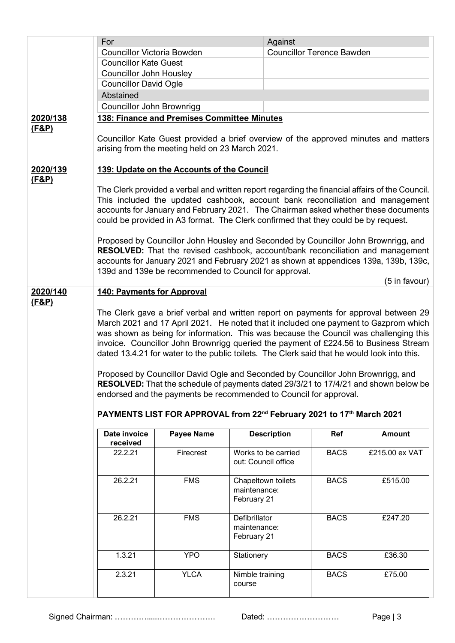|                  | For                               |                                                 | Against                                                                                                                                                               |                                  |                |
|------------------|-----------------------------------|-------------------------------------------------|-----------------------------------------------------------------------------------------------------------------------------------------------------------------------|----------------------------------|----------------|
|                  | <b>Councillor Victoria Bowden</b> |                                                 |                                                                                                                                                                       | <b>Councillor Terence Bawden</b> |                |
|                  | <b>Councillor Kate Guest</b>      |                                                 |                                                                                                                                                                       |                                  |                |
|                  | <b>Councillor John Housley</b>    |                                                 |                                                                                                                                                                       |                                  |                |
|                  | <b>Councillor David Ogle</b>      |                                                 |                                                                                                                                                                       |                                  |                |
|                  | Abstained                         |                                                 |                                                                                                                                                                       |                                  |                |
|                  | Councillor John Brownrigg         |                                                 |                                                                                                                                                                       |                                  |                |
| 2020/138         |                                   | 138: Finance and Premises Committee Minutes     |                                                                                                                                                                       |                                  |                |
| <u>(F&amp;P)</u> |                                   |                                                 |                                                                                                                                                                       |                                  |                |
|                  |                                   |                                                 | Councillor Kate Guest provided a brief overview of the approved minutes and matters                                                                                   |                                  |                |
|                  |                                   | arising from the meeting held on 23 March 2021. |                                                                                                                                                                       |                                  |                |
| 2020/139         |                                   | 139: Update on the Accounts of the Council      |                                                                                                                                                                       |                                  |                |
| (F&P)            |                                   |                                                 |                                                                                                                                                                       |                                  |                |
|                  |                                   |                                                 | The Clerk provided a verbal and written report regarding the financial affairs of the Council.                                                                        |                                  |                |
|                  |                                   |                                                 | This included the updated cashbook, account bank reconciliation and management                                                                                        |                                  |                |
|                  |                                   |                                                 | accounts for January and February 2021. The Chairman asked whether these documents                                                                                    |                                  |                |
|                  |                                   |                                                 | could be provided in A3 format. The Clerk confirmed that they could be by request.                                                                                    |                                  |                |
|                  |                                   |                                                 |                                                                                                                                                                       |                                  |                |
|                  |                                   |                                                 | Proposed by Councillor John Housley and Seconded by Councillor John Brownrigg, and<br>RESOLVED: That the revised cashbook, account/bank reconciliation and management |                                  |                |
|                  |                                   |                                                 | accounts for January 2021 and February 2021 as shown at appendices 139a, 139b, 139c,                                                                                  |                                  |                |
|                  |                                   |                                                 | 139d and 139e be recommended to Council for approval.                                                                                                                 |                                  |                |
|                  |                                   |                                                 |                                                                                                                                                                       |                                  | (5 in favour)  |
| 2020/140         | <b>140: Payments for Approval</b> |                                                 |                                                                                                                                                                       |                                  |                |
| (F&P)            |                                   |                                                 |                                                                                                                                                                       |                                  |                |
|                  |                                   |                                                 | The Clerk gave a brief verbal and written report on payments for approval between 29                                                                                  |                                  |                |
|                  |                                   |                                                 | March 2021 and 17 April 2021. He noted that it included one payment to Gazprom which                                                                                  |                                  |                |
|                  |                                   |                                                 | was shown as being for information. This was because the Council was challenging this                                                                                 |                                  |                |
|                  |                                   |                                                 | invoice. Councillor John Brownrigg queried the payment of £224.56 to Business Stream                                                                                  |                                  |                |
|                  |                                   |                                                 | dated 13.4.21 for water to the public toilets. The Clerk said that he would look into this.                                                                           |                                  |                |
|                  |                                   |                                                 | Proposed by Councillor David Ogle and Seconded by Councillor John Brownrigg, and                                                                                      |                                  |                |
|                  |                                   |                                                 | RESOLVED: That the schedule of payments dated 29/3/21 to 17/4/21 and shown below be                                                                                   |                                  |                |
|                  |                                   |                                                 | endorsed and the payments be recommended to Council for approval.                                                                                                     |                                  |                |
|                  |                                   |                                                 |                                                                                                                                                                       |                                  |                |
|                  |                                   |                                                 | PAYMENTS LIST FOR APPROVAL from 22 <sup>nd</sup> February 2021 to 17 <sup>th</sup> March 2021                                                                         |                                  |                |
|                  | Date invoice<br>received          | <b>Payee Name</b>                               | <b>Description</b>                                                                                                                                                    | Ref                              | <b>Amount</b>  |
|                  | 22.2.21                           | Firecrest                                       | Works to be carried                                                                                                                                                   | <b>BACS</b>                      | £215.00 ex VAT |
|                  |                                   |                                                 | out: Council office                                                                                                                                                   |                                  |                |
|                  | 26.2.21                           | <b>FMS</b>                                      | Chapeltown toilets                                                                                                                                                    | <b>BACS</b>                      | £515.00        |
|                  |                                   |                                                 | maintenance:                                                                                                                                                          |                                  |                |
|                  |                                   |                                                 | February 21                                                                                                                                                           |                                  |                |
|                  |                                   |                                                 |                                                                                                                                                                       |                                  |                |
|                  | 26.2.21                           | <b>FMS</b>                                      | Defibrillator                                                                                                                                                         | <b>BACS</b>                      | £247.20        |
|                  |                                   |                                                 | maintenance:<br>February 21                                                                                                                                           |                                  |                |
|                  |                                   |                                                 |                                                                                                                                                                       |                                  |                |
|                  | 1.3.21                            | <b>YPO</b>                                      | Stationery                                                                                                                                                            | <b>BACS</b>                      | £36.30         |
|                  | 2.3.21                            | <b>YLCA</b>                                     | Nimble training                                                                                                                                                       | <b>BACS</b>                      | £75.00         |
|                  |                                   |                                                 | course                                                                                                                                                                |                                  |                |
|                  |                                   |                                                 |                                                                                                                                                                       |                                  |                |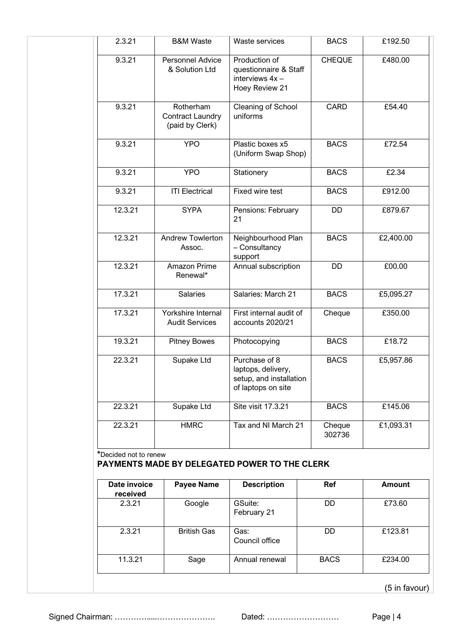| 2.3.21                   | <b>B&amp;M Waste</b>                                    | Waste services                                                                       | <b>BACS</b>      | £192.50       |
|--------------------------|---------------------------------------------------------|--------------------------------------------------------------------------------------|------------------|---------------|
| 9.3.21                   | <b>Personnel Advice</b><br>& Solution Ltd               | Production of<br>questionnaire & Staff<br>interviews 4x -<br>Hoey Review 21          | <b>CHEQUE</b>    | £480.00       |
| 9.3.21                   | Rotherham<br><b>Contract Laundry</b><br>(paid by Clerk) | Cleaning of School<br>uniforms                                                       | <b>CARD</b>      | £54.40        |
| 9.3.21                   | <b>YPO</b>                                              | Plastic boxes x5<br>(Uniform Swap Shop)                                              | <b>BACS</b>      | £72.54        |
| 9.3.21                   | <b>YPO</b>                                              | Stationery                                                                           | <b>BACS</b>      | £2.34         |
| 9.3.21                   | <b>ITI Electrical</b>                                   | Fixed wire test                                                                      | <b>BACS</b>      | £912.00       |
| 12.3.21                  | <b>SYPA</b>                                             | Pensions: February<br>21                                                             | <b>DD</b>        | £879.67       |
| 12.3.21                  | Andrew Towlerton<br>Assoc.                              | Neighbourhood Plan<br>- Consultancy<br>support                                       | <b>BACS</b>      | £2,400.00     |
| 12.3.21                  | Amazon Prime<br>Renewal*                                | Annual subscription                                                                  | <b>DD</b>        | £00.00        |
| 17.3.21                  | <b>Salaries</b>                                         | Salaries: March 21                                                                   | <b>BACS</b>      | £5,095.27     |
| 17.3.21                  | Yorkshire Internal<br><b>Audit Services</b>             | First internal audit of<br>accounts 2020/21                                          | Cheque           | £350.00       |
| 19.3.21                  | <b>Pitney Bowes</b>                                     | Photocopying                                                                         | <b>BACS</b>      | £18.72        |
| 22.3.21                  | Supake Ltd                                              | Purchase of 8<br>laptops, delivery,<br>setup, and installation<br>of laptops on site | <b>BACS</b>      | £5,957.86     |
| 22.3.21                  | Supake Ltd                                              | Site visit 17.3.21                                                                   | <b>BACS</b>      | £145.06       |
| 22.3.21                  | <b>HMRC</b>                                             | Tax and NI March 21                                                                  | Cheque<br>302736 | £1,093.31     |
| *Decided not to renew    |                                                         | PAYMENTS MADE BY DELEGATED POWER TO THE CLERK                                        |                  |               |
| Date invoice<br>received | <b>Payee Name</b>                                       | <b>Description</b>                                                                   | Ref              | <b>Amount</b> |
| 2.3.21                   | Google                                                  | GSuite:<br>February 21                                                               | DD               | £73.60        |

| Date invoice<br>received | <b>Payee Name</b>  | <b>Description</b>     | <b>Ref</b>  | <b>Amount</b> |
|--------------------------|--------------------|------------------------|-------------|---------------|
| 2.3.21                   | Google             | GSuite:<br>February 21 | <b>DD</b>   | £73.60        |
| 2.3.21                   | <b>British Gas</b> | Gas:<br>Council office | DD          | £123.81       |
| 11.3.21                  | Sage               | Annual renewal         | <b>BACS</b> | £234.00       |

(5 in favour)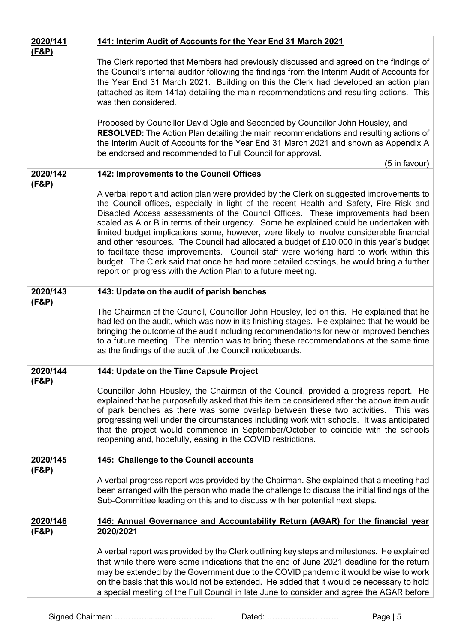| 2020/141                     | 141: Interim Audit of Accounts for the Year End 31 March 2021                                                                                                                                                                                                                                                                                                                                                                                                                                                                                                                                                                                                                                                                                                                                                |
|------------------------------|--------------------------------------------------------------------------------------------------------------------------------------------------------------------------------------------------------------------------------------------------------------------------------------------------------------------------------------------------------------------------------------------------------------------------------------------------------------------------------------------------------------------------------------------------------------------------------------------------------------------------------------------------------------------------------------------------------------------------------------------------------------------------------------------------------------|
| <u>(F&amp;P)</u>             | The Clerk reported that Members had previously discussed and agreed on the findings of<br>the Council's internal auditor following the findings from the Interim Audit of Accounts for<br>the Year End 31 March 2021. Building on this the Clerk had developed an action plan<br>(attached as item 141a) detailing the main recommendations and resulting actions. This<br>was then considered.<br>Proposed by Councillor David Ogle and Seconded by Councillor John Housley, and<br><b>RESOLVED:</b> The Action Plan detailing the main recommendations and resulting actions of<br>the Interim Audit of Accounts for the Year End 31 March 2021 and shown as Appendix A<br>be endorsed and recommended to Full Council for approval.<br>(5 in favour)                                                      |
| 2020/142                     | 142: Improvements to the Council Offices                                                                                                                                                                                                                                                                                                                                                                                                                                                                                                                                                                                                                                                                                                                                                                     |
| <u>(F&amp;P)</u>             | A verbal report and action plan were provided by the Clerk on suggested improvements to<br>the Council offices, especially in light of the recent Health and Safety, Fire Risk and<br>Disabled Access assessments of the Council Offices. These improvements had been<br>scaled as A or B in terms of their urgency. Some he explained could be undertaken with<br>limited budget implications some, however, were likely to involve considerable financial<br>and other resources. The Council had allocated a budget of £10,000 in this year's budget<br>to facilitate these improvements. Council staff were working hard to work within this<br>budget. The Clerk said that once he had more detailed costings, he would bring a further<br>report on progress with the Action Plan to a future meeting. |
| 2020/143                     | 143: Update on the audit of parish benches                                                                                                                                                                                                                                                                                                                                                                                                                                                                                                                                                                                                                                                                                                                                                                   |
| <u>(F&amp;P)</u>             | The Chairman of the Council, Councillor John Housley, led on this. He explained that he<br>had led on the audit, which was now in its finishing stages. He explained that he would be<br>bringing the outcome of the audit including recommendations for new or improved benches<br>to a future meeting. The intention was to bring these recommendations at the same time<br>as the findings of the audit of the Council noticeboards.                                                                                                                                                                                                                                                                                                                                                                      |
| 2020/144                     | 144: Update on the Time Capsule Project                                                                                                                                                                                                                                                                                                                                                                                                                                                                                                                                                                                                                                                                                                                                                                      |
| <u>(F&amp;P)</u>             | Councillor John Housley, the Chairman of the Council, provided a progress report. He<br>explained that he purposefully asked that this item be considered after the above item audit<br>of park benches as there was some overlap between these two activities. This was<br>progressing well under the circumstances including work with schools. It was anticipated<br>that the project would commence in September/October to coincide with the schools<br>reopening and, hopefully, easing in the COVID restrictions.                                                                                                                                                                                                                                                                                     |
| <u>2020/145</u>              | 145: Challenge to the Council accounts                                                                                                                                                                                                                                                                                                                                                                                                                                                                                                                                                                                                                                                                                                                                                                       |
| <u>(F&amp;P)</u>             | A verbal progress report was provided by the Chairman. She explained that a meeting had<br>been arranged with the person who made the challenge to discuss the initial findings of the<br>Sub-Committee leading on this and to discuss with her potential next steps.                                                                                                                                                                                                                                                                                                                                                                                                                                                                                                                                        |
| 2020/146<br><u>(F&amp;P)</u> | 146: Annual Governance and Accountability Return (AGAR) for the financial year<br>2020/2021                                                                                                                                                                                                                                                                                                                                                                                                                                                                                                                                                                                                                                                                                                                  |
|                              | A verbal report was provided by the Clerk outlining key steps and milestones. He explained<br>that while there were some indications that the end of June 2021 deadline for the return<br>may be extended by the Government due to the COVID pandemic it would be wise to work<br>on the basis that this would not be extended. He added that it would be necessary to hold<br>a special meeting of the Full Council in late June to consider and agree the AGAR before                                                                                                                                                                                                                                                                                                                                      |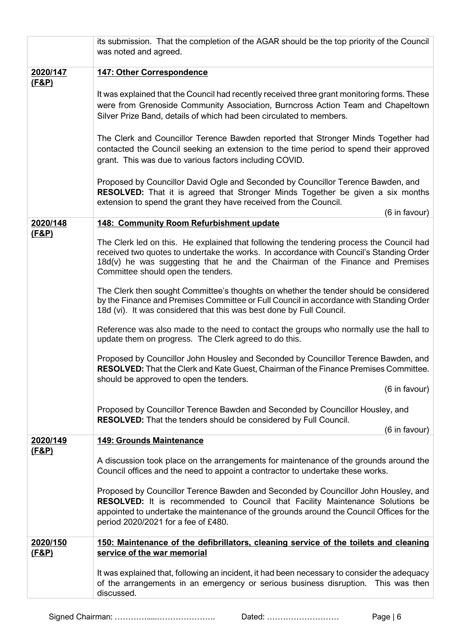|                              | its submission. That the completion of the AGAR should be the top priority of the Council<br>was noted and agreed.                                                                                                                                                                                         |  |  |  |
|------------------------------|------------------------------------------------------------------------------------------------------------------------------------------------------------------------------------------------------------------------------------------------------------------------------------------------------------|--|--|--|
| 2020/147                     | <b>147: Other Correspondence</b>                                                                                                                                                                                                                                                                           |  |  |  |
| <u>(F&amp;P)</u>             | It was explained that the Council had recently received three grant monitoring forms. These<br>were from Grenoside Community Association, Burncross Action Team and Chapeltown<br>Silver Prize Band, details of which had been circulated to members.                                                      |  |  |  |
|                              | The Clerk and Councillor Terence Bawden reported that Stronger Minds Together had<br>contacted the Council seeking an extension to the time period to spend their approved<br>grant. This was due to various factors including COVID.                                                                      |  |  |  |
|                              | Proposed by Councillor David Ogle and Seconded by Councillor Terence Bawden, and<br><b>RESOLVED:</b> That it is agreed that Stronger Minds Together be given a six months<br>extension to spend the grant they have received from the Council.<br>(6 in favour)                                            |  |  |  |
| 2020/148                     | 148: Community Room Refurbishment update                                                                                                                                                                                                                                                                   |  |  |  |
| <u>(F&amp;P)</u>             | The Clerk led on this. He explained that following the tendering process the Council had<br>received two quotes to undertake the works. In accordance with Council's Standing Order<br>18d(v) he was suggesting that he and the Chairman of the Finance and Premises<br>Committee should open the tenders. |  |  |  |
|                              | The Clerk then sought Committee's thoughts on whether the tender should be considered<br>by the Finance and Premises Committee or Full Council in accordance with Standing Order<br>18d (vi). It was considered that this was best done by Full Council.                                                   |  |  |  |
|                              | Reference was also made to the need to contact the groups who normally use the hall to<br>update them on progress. The Clerk agreed to do this.                                                                                                                                                            |  |  |  |
|                              | Proposed by Councillor John Housley and Seconded by Councillor Terence Bawden, and<br><b>RESOLVED:</b> That the Clerk and Kate Guest, Chairman of the Finance Premises Committee.<br>should be approved to open the tenders.                                                                               |  |  |  |
|                              | (6 in favour)                                                                                                                                                                                                                                                                                              |  |  |  |
|                              | Proposed by Councillor Terence Bawden and Seconded by Councillor Housley, and<br><b>RESOLVED:</b> That the tenders should be considered by Full Council.<br>(6 in favour)                                                                                                                                  |  |  |  |
| 2020/149                     | 149: Grounds Maintenance                                                                                                                                                                                                                                                                                   |  |  |  |
| <u>(F&amp;P)</u>             | A discussion took place on the arrangements for maintenance of the grounds around the<br>Council offices and the need to appoint a contractor to undertake these works.                                                                                                                                    |  |  |  |
|                              | Proposed by Councillor Terence Bawden and Seconded by Councillor John Housley, and<br>RESOLVED: It is recommended to Council that Facility Maintenance Solutions be<br>appointed to undertake the maintenance of the grounds around the Council Offices for the<br>period 2020/2021 for a fee of £480.     |  |  |  |
| 2020/150<br><u>(F&amp;P)</u> | 150: Maintenance of the defibrillators, cleaning service of the toilets and cleaning<br>service of the war memorial                                                                                                                                                                                        |  |  |  |
|                              | It was explained that, following an incident, it had been necessary to consider the adequacy<br>of the arrangements in an emergency or serious business disruption.<br>This was then<br>discussed.                                                                                                         |  |  |  |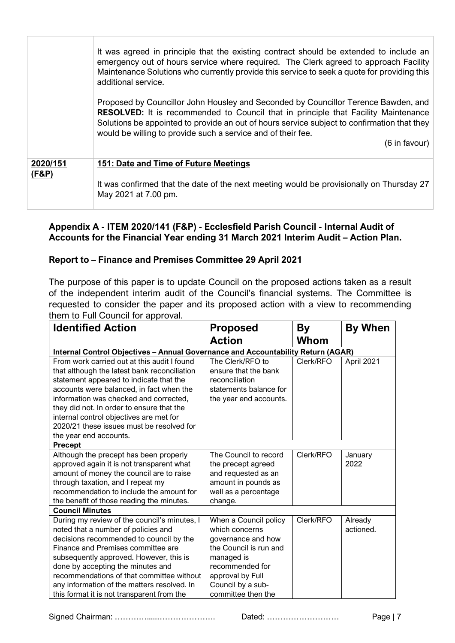|                   | It was agreed in principle that the existing contract should be extended to include an<br>emergency out of hours service where required. The Clerk agreed to approach Facility<br>Maintenance Solutions who currently provide this service to seek a quote for providing this<br>additional service.                                                                      |
|-------------------|---------------------------------------------------------------------------------------------------------------------------------------------------------------------------------------------------------------------------------------------------------------------------------------------------------------------------------------------------------------------------|
|                   | Proposed by Councillor John Housley and Seconded by Councillor Terence Bawden, and<br><b>RESOLVED:</b> It is recommended to Council that in principle that Facility Maintenance<br>Solutions be appointed to provide an out of hours service subject to confirmation that they<br>would be willing to provide such a service and of their fee.<br>$(6 \text{ in favour})$ |
| 2020/151<br>(F&P) | 151: Date and Time of Future Meetings                                                                                                                                                                                                                                                                                                                                     |
|                   | It was confirmed that the date of the next meeting would be provisionally on Thursday 27<br>May 2021 at 7.00 pm.                                                                                                                                                                                                                                                          |

## **Appendix A - ITEM 2020/141 (F&P) - Ecclesfield Parish Council - Internal Audit of**  Accounts for the Financial Year ending 31 March 2021 Interim Audit - Action Plan.

## **Report to – Finance and Premises Committee 29 April 2021**

The purpose of this paper is to update Council on the proposed actions taken as a result of the independent interim audit of the Council's financial systems. The Committee is requested to consider the paper and its proposed action with a view to recommending them to Full Council for approval.

| <b>Identified Action</b>                                                                                                                                                                                                                                                                                                                                                                       | <b>Proposed</b>                                                                                                                                                                         | By        | <b>By When</b>       |
|------------------------------------------------------------------------------------------------------------------------------------------------------------------------------------------------------------------------------------------------------------------------------------------------------------------------------------------------------------------------------------------------|-----------------------------------------------------------------------------------------------------------------------------------------------------------------------------------------|-----------|----------------------|
|                                                                                                                                                                                                                                                                                                                                                                                                | <b>Action</b>                                                                                                                                                                           | Whom      |                      |
| Internal Control Objectives - Annual Governance and Accountability Return (AGAR)                                                                                                                                                                                                                                                                                                               |                                                                                                                                                                                         |           |                      |
| From work carried out at this audit I found<br>that although the latest bank reconciliation<br>statement appeared to indicate that the<br>accounts were balanced, in fact when the<br>information was checked and corrected,<br>they did not. In order to ensure that the<br>internal control objectives are met for<br>2020/21 these issues must be resolved for<br>the year end accounts.    | The Clerk/RFO to<br>ensure that the bank<br>reconciliation<br>statements balance for<br>the year end accounts.                                                                          | Clerk/RFO | April 2021           |
| <b>Precept</b>                                                                                                                                                                                                                                                                                                                                                                                 |                                                                                                                                                                                         |           |                      |
| Although the precept has been properly<br>approved again it is not transparent what<br>amount of money the council are to raise<br>through taxation, and I repeat my<br>recommendation to include the amount for<br>the benefit of those reading the minutes.                                                                                                                                  | The Council to record<br>the precept agreed<br>and requested as an<br>amount in pounds as<br>well as a percentage<br>change.                                                            | Clerk/RFO | January<br>2022      |
| <b>Council Minutes</b>                                                                                                                                                                                                                                                                                                                                                                         |                                                                                                                                                                                         |           |                      |
| During my review of the council's minutes, I<br>noted that a number of policies and<br>decisions recommended to council by the<br>Finance and Premises committee are<br>subsequently approved. However, this is<br>done by accepting the minutes and<br>recommendations of that committee without<br>any information of the matters resolved. In<br>this format it is not transparent from the | When a Council policy<br>which concerns<br>governance and how<br>the Council is run and<br>managed is<br>recommended for<br>approval by Full<br>Council by a sub-<br>committee then the | Clerk/RFO | Already<br>actioned. |